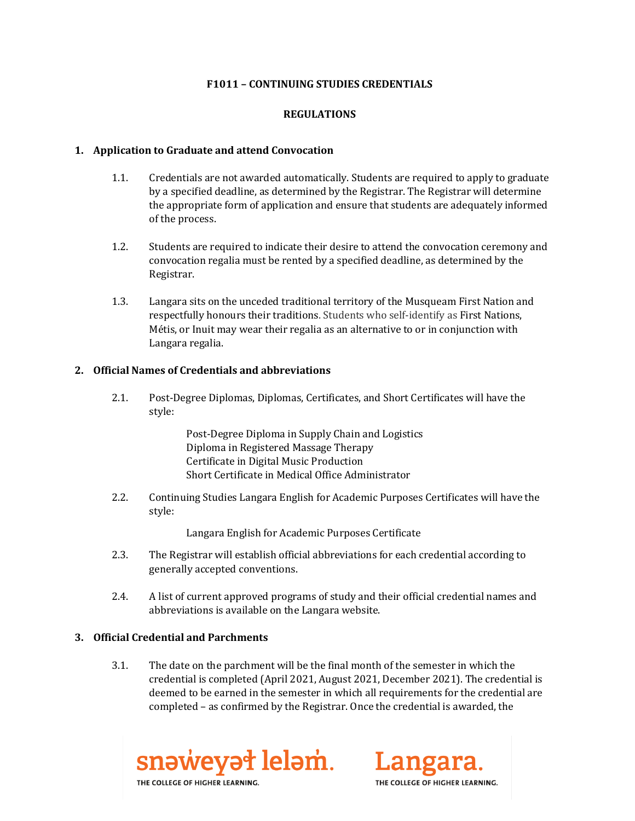### **F1011 – CONTINUING STUDIES CREDENTIALS**

### **REGULATIONS**

#### **1. Application to Graduate and attend Convocation**

- 1.1. Credentials are not awarded automatically. Students are required to apply to graduate by a specified deadline, as determined by the Registrar. The Registrar will determine the appropriate form of application and ensure that students are adequately informed of the process.
- 1.2. Students are required to indicate their desire to attend the convocation ceremony and convocation regalia must be rented by a specified deadline, as determined by the Registrar.
- 1.3. Langara sits on the unceded traditional territory of the Musqueam First Nation and respectfully honours their traditions. Students who self-identify as First Nations, Métis, or Inuit may wear their regalia as an alternative to or in conjunction with Langara regalia.

#### **2. Official Names of Credentials and abbreviations**

2.1. Post-Degree Diplomas, Diplomas, Certificates, and Short Certificates will have the style:

> Post-Degree Diploma in Supply Chain and Logistics Diploma in Registered Massage Therapy Certificate in Digital Music Production Short Certificate in Medical Office Administrator

2.2. Continuing Studies Langara English for Academic Purposes Certificates will have the style:

Langara English for Academic Purposes Certificate

- 2.3. The Registrar will establish official abbreviations for each credential according to generally accepted conventions.
- 2.4. A list of current approved programs of study and their official credential names and abbreviations is available on the Langara website.

#### **3. Official Credential and Parchments**

3.1. The date on the parchment will be the final month of the semester in which the credential is completed (April 2021, August 2021, December 2021). The credential is deemed to be earned in the semester in which all requirements for the credential are completed – as confirmed by the Registrar. Once the credential is awarded, the



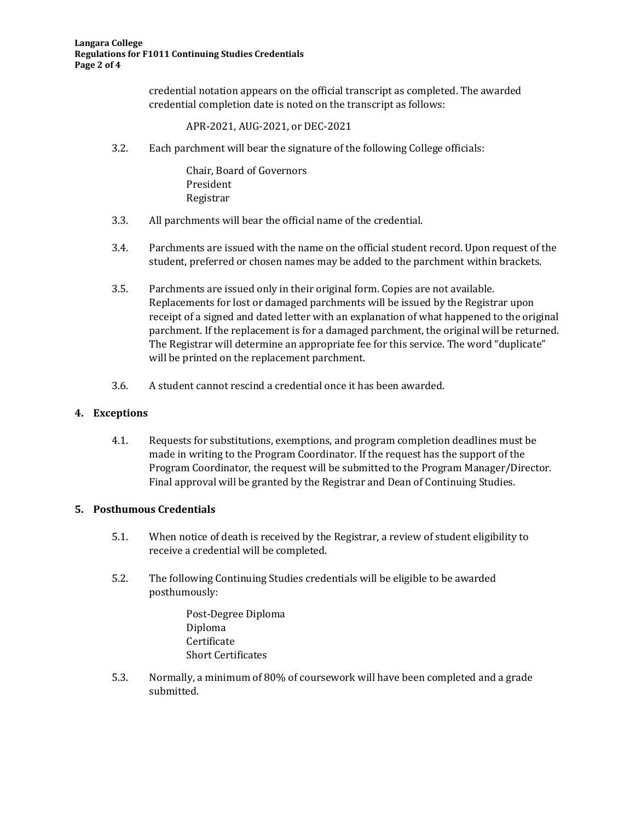credential notation appears on the official transcript as completed. The awarded credential completion date is noted on the transcript as follows:

APR-2021, AUG-2021, or DEC-2021

3.2. Each parchment will bear the signature of the following College officials:

Chair, Board of Governors President Registrar

- 3.3. All parchments will bear the official name of the credential.
- 3.4. Parchments are issued with the name on the official student record. Upon request of the student, preferred or chosen names may be added to the parchment within brackets.
- 3.5. Parchments are issued only in their original form. Copies are not available. Replacements for lost or damaged parchments will be issued by the Registrar upon receipt of a signed and dated letter with an explanation of what happened to the original parchment. If the replacement is for a damaged parchment, the original will be returned. The Registrar will determine an appropriate fee for this service. The word "duplicate" will be printed on the replacement parchment.
- 3.6. A student cannot rescind a credential once it has been awarded.

#### **4. Exceptions**

4.1. Requests for substitutions, exemptions, and program completion deadlines must be made in writing to the Program Coordinator. If the request has the support of the Program Coordinator, the request will be submitted to the Program Manager/Director. Final approval will be granted by the Registrar and Dean of Continuing Studies.

#### **5. Posthumous Credentials**

- 5.1. When notice of death is received by the Registrar, a review of student eligibility to receive a credential will be completed.
- 5.2. The following Continuing Studies credentials will be eligible to be awarded posthumously:

Post-Degree Diploma Diploma Certificate Short Certificates

5.3. Normally, a minimum of 80% of coursework will have been completed and a grade submitted.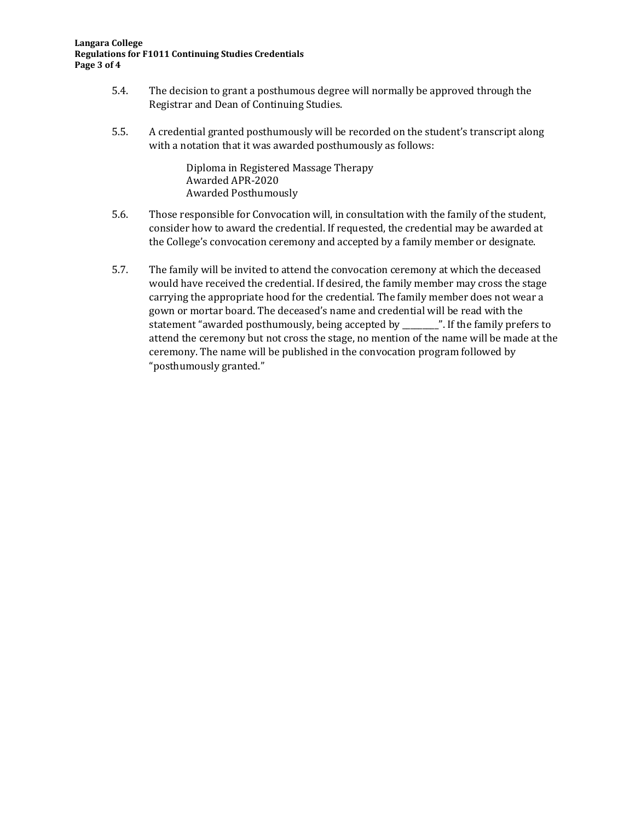#### **Langara College Regulations for F1011 Continuing Studies Credentials Page 3 of 4**

- 5.4. The decision to grant a posthumous degree will normally be approved through the Registrar and Dean of Continuing Studies.
- 5.5. A credential granted posthumously will be recorded on the student's transcript along with a notation that it was awarded posthumously as follows:

Diploma in Registered Massage Therapy Awarded APR-2020 Awarded Posthumously

- 5.6. Those responsible for Convocation will, in consultation with the family of the student, consider how to award the credential. If requested, the credential may be awarded at the College's convocation ceremony and accepted by a family member or designate.
- 5.7. The family will be invited to attend the convocation ceremony at which the deceased would have received the credential. If desired, the family member may cross the stage carrying the appropriate hood for the credential. The family member does not wear a gown or mortar board. The deceased's name and credential will be read with the statement "awarded posthumously, being accepted by \_\_\_\_\_\_\_\_\_". If the family prefers to attend the ceremony but not cross the stage, no mention of the name will be made at the ceremony. The name will be published in the convocation program followed by "posthumously granted."